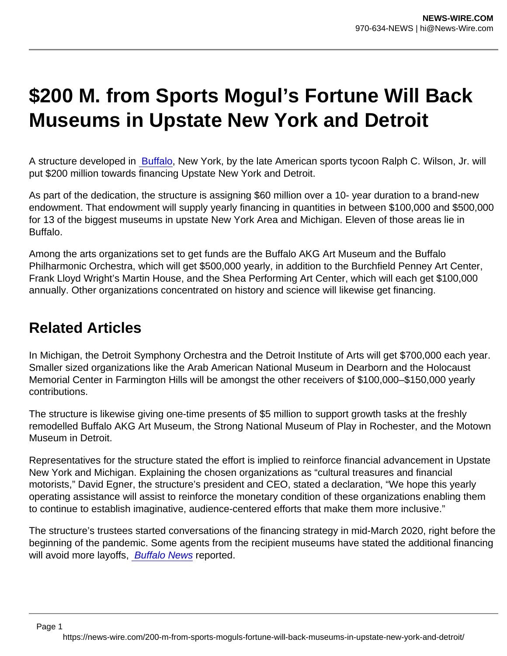## \$200 M. from Sports Mogul's Fortune Will Back Museums in Upstate New York and Detroit

A structure developed in [Buffalo](https://www.artnews.com/t/buffalo/), New York, by the late American sports tycoon Ralph C. Wilson, Jr. will put \$200 million towards financing Upstate New York and Detroit.

As part of the dedication, the structure is assigning \$60 million over a 10- year duration to a brand-new endowment. That endowment will supply yearly financing in quantities in between \$100,000 and \$500,000 for 13 of the biggest museums in upstate New York Area and Michigan. Eleven of those areas lie in Buffalo.

Among the arts organizations set to get funds are the Buffalo AKG Art Museum and the Buffalo Philharmonic Orchestra, which will get \$500,000 yearly, in addition to the Burchfield Penney Art Center, Frank Lloyd Wright's Martin House, and the Shea Performing Art Center, which will each get \$100,000 annually. Other organizations concentrated on history and science will likewise get financing.

## Related Articles

In Michigan, the Detroit Symphony Orchestra and the Detroit Institute of Arts will get \$700,000 each year. Smaller sized organizations like the Arab American National Museum in Dearborn and the Holocaust Memorial Center in Farmington Hills will be amongst the other receivers of \$100,000–\$150,000 yearly contributions.

The structure is likewise giving one-time presents of \$5 million to support growth tasks at the freshly remodelled Buffalo AKG Art Museum, the Strong National Museum of Play in Rochester, and the Motown Museum in Detroit.

Representatives for the structure stated the effort is implied to reinforce financial advancement in Upstate New York and Michigan. Explaining the chosen organizations as "cultural treasures and financial motorists," David Egner, the structure's president and CEO, stated a declaration, "We hope this yearly operating assistance will assist to reinforce the monetary condition of these organizations enabling them to continue to establish imaginative, audience-centered efforts that make them more inclusive."

The structure's trustees started conversations of the financing strategy in mid-March 2020, right before the beginning of the pandemic. Some agents from the recipient museums have stated the additional financing will avoid more layoffs, [Buffalo News](https://buffalonews.com/news/local/wilson-foundation-announces-100-million-to-support-arts-and-cultural-organizations/article_a8009048-5126-11ec-a517-df7aa8615cdd.html) reported.

https://news-wire.com/200-m-from-sports-moguls-fortune-will-back-museums-in-upstate-new-york-and-detroit/

Page 1